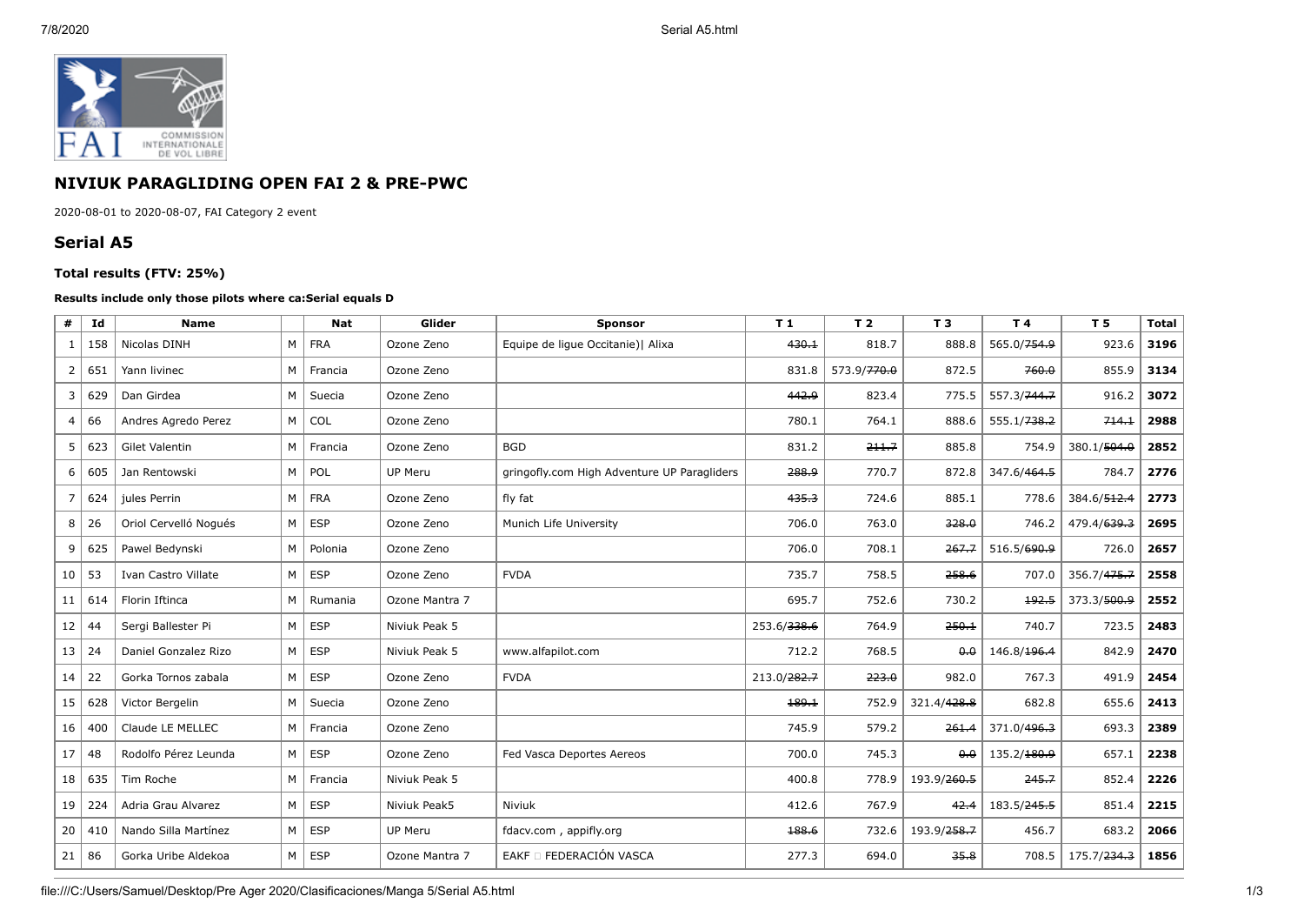

## **NIVIUK PARAGLIDING OPEN FAI 2 & PRE-PWC**

2020-08-01 to 2020-08-07, FAI Category 2 event

## **Serial A5**

## **Total results (FTV: 25%)**

## **Results include only those pilots where ca:Serial equals D**

| #               | Id  | <b>Name</b>           |                | <b>Nat</b> | Glider         | <b>Sponsor</b>                              | T <sub>1</sub> | T <sub>2</sub>          | T <sub>3</sub>          | T 4                     | T 5                     | <b>Total</b> |
|-----------------|-----|-----------------------|----------------|------------|----------------|---------------------------------------------|----------------|-------------------------|-------------------------|-------------------------|-------------------------|--------------|
| 1               | 158 | Nicolas DINH          | M              | <b>FRA</b> | Ozone Zeno     | Equipe de lique Occitanie)   Alixa          | 430.1          | 818.7                   | 888.8                   | 565.0/ <del>754.9</del> | 923.6                   | 3196         |
| 2               | 651 | Yann livinec          | M              | Francia    | Ozone Zeno     |                                             | 831.8          | 573.9/ <del>770.0</del> | 872.5                   | 760.0                   | 855.9                   | 3134         |
| 3               | 629 | Dan Girdea            | M              | Suecia     | Ozone Zeno     |                                             | 442.9          | 823.4                   | 775.5                   | 557.3/ <del>744.7</del> | 916.2                   | 3072         |
| 4               | 66  | Andres Agredo Perez   | M              | COL        | Ozone Zeno     |                                             | 780.1          | 764.1                   | 888.6                   | 555.1/ <del>738.2</del> | 714.1                   | 2988         |
| 5               | 623 | Gilet Valentin        | M              | Francia    | Ozone Zeno     | <b>BGD</b>                                  | 831.2          | 211.7                   | 885.8                   | 754.9                   | 380.1/504.0             | 2852         |
| 6               | 605 | Jan Rentowski         | M              | POL        | UP Meru        | gringofly.com High Adventure UP Paragliders | 288.9          | 770.7                   | 872.8                   | 347.6/464.5             | 784.7                   | 2776         |
| $\overline{7}$  | 624 | jules Perrin          | M              | <b>FRA</b> | Ozone Zeno     | fly fat                                     | 435.3          | 724.6                   | 885.1                   | 778.6                   | 384.6/512.4             | 2773         |
| 8 <sup>1</sup>  | 26  | Oriol Cervelló Nogués | M              | <b>ESP</b> | Ozone Zeno     | Munich Life University                      | 706.0          | 763.0                   | 328.0                   | 746.2                   | 479.4/639.3             | 2695         |
| 9               | 625 | Pawel Bedynski        | M              | Polonia    | Ozone Zeno     |                                             | 706.0          | 708.1                   | 267.7                   | 516.5/690.9             | 726.0                   | 2657         |
| 10 <sup>1</sup> | 53  | Ivan Castro Villate   | M              | <b>ESP</b> | Ozone Zeno     | <b>FVDA</b>                                 | 735.7          | 758.5                   | 258.6                   | 707.0                   | 356.7/475.7             | 2558         |
| 11 <sup>1</sup> | 614 | Florin Iftinca        | M              | Rumania    | Ozone Mantra 7 |                                             | 695.7          | 752.6                   | 730.2                   | 192.5                   | 373.3/500.9             | 2552         |
| 12              | 44  | Sergi Ballester Pi    | M              | <b>ESP</b> | Niviuk Peak 5  |                                             | 253.6/338.6    | 764.9                   | 250.1                   | 740.7                   | 723.5                   | 2483         |
| 13              | 24  | Daniel Gonzalez Rizo  | M <sub>1</sub> | <b>ESP</b> | Niviuk Peak 5  | www.alfapilot.com                           | 712.2          | 768.5                   | 0.0                     | 146.8/196.4             | 842.9                   | 2470         |
| 14              | 22  | Gorka Tornos zabala   | M <sub>1</sub> | <b>ESP</b> | Ozone Zeno     | <b>FVDA</b>                                 | 213.0/282.7    | 223.0                   | 982.0                   | 767.3                   | 491.9                   | 2454         |
| 15 <sup>1</sup> | 628 | Victor Bergelin       | M              | Suecia     | Ozone Zeno     |                                             | 189.1          | 752.9                   | 321.4/428.8             | 682.8                   | 655.6                   | 2413         |
| 16              | 400 | Claude LE MELLEC      | M <sub>1</sub> | Francia    | Ozone Zeno     |                                             | 745.9          | 579.2                   | 261.4                   | 371.0/496.3             | 693.3                   | 2389         |
| 17 <sup>1</sup> | 48  | Rodolfo Pérez Leunda  | M <sub>1</sub> | <b>ESP</b> | Ozone Zeno     | Fed Vasca Deportes Aereos                   | 700.0          | 745.3                   | 0,0                     | 135.2/180.9             | 657.1                   | 2238         |
| 18 <sup>1</sup> | 635 | Tim Roche             | M              | Francia    | Niviuk Peak 5  |                                             | 400.8          | 778.9                   | 193.9/ <del>260.5</del> | 245.7                   | 852.4                   | 2226         |
| 19              | 224 | Adria Grau Alvarez    | M              | <b>ESP</b> | Niviuk Peak5   | Niviuk                                      | 412.6          | 767.9                   | 42.4                    | 183.5/ <del>245.5</del> | 851.4                   | 2215         |
| 20              | 410 | Nando Silla Martínez  | M              | <b>ESP</b> | UP Meru        | fdacv.com, appifly.org                      | 188.6          | 732.6                   | 193.9/ <del>258.7</del> | 456.7                   | 683.2                   | 2066         |
| 21              | 86  | Gorka Uribe Aldekoa   | M <sub>1</sub> | <b>ESP</b> | Ozone Mantra 7 | EAKF O FEDERACIÓN VASCA                     | 277.3          | 694.0                   | 35.8                    | 708.5                   | 175.7/ <del>234.3</del> | 1856         |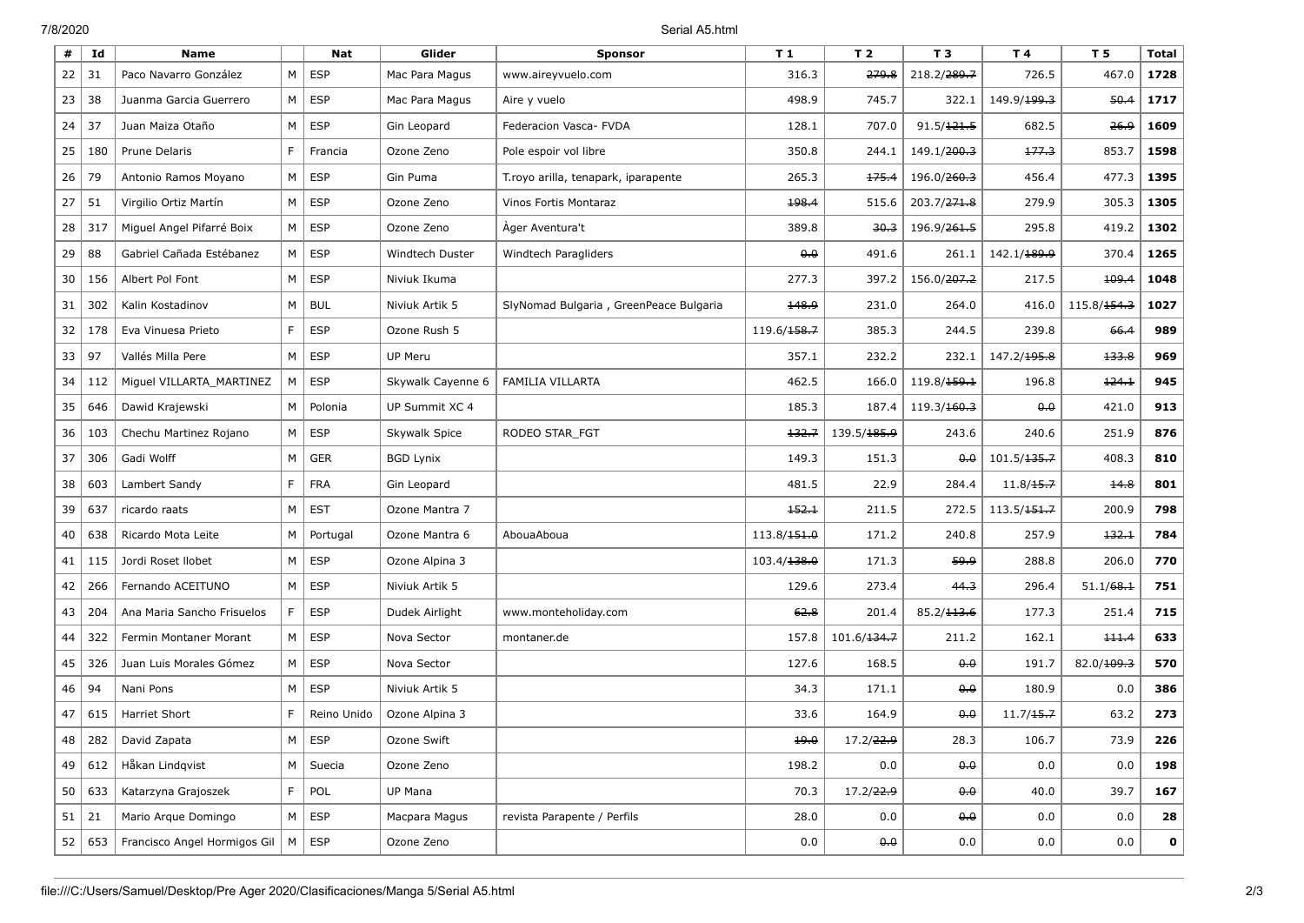7/8/2020 Serial A5.html

| #  | Id  | <b>Name</b>                  |    | <b>Nat</b>  | Glider            | <b>Sponsor</b>                         | T <sub>1</sub>          | T <sub>2</sub>          | T <sub>3</sub>          | T4                      | T 5                     | <b>Total</b> |
|----|-----|------------------------------|----|-------------|-------------------|----------------------------------------|-------------------------|-------------------------|-------------------------|-------------------------|-------------------------|--------------|
| 22 | 31  | Paco Navarro González        | M  | <b>ESP</b>  | Mac Para Magus    | www.aireyvuelo.com                     | 316.3                   | 279.8                   | 218.2/ <del>289.7</del> | 726.5                   | 467.0                   | 1728         |
| 23 | 38  | Juanma Garcia Guerrero       | M  | <b>ESP</b>  | Mac Para Magus    | Aire y vuelo                           | 498.9                   | 745.7                   | 322.1                   | 149.9/199.3             | 50.4                    | 1717         |
| 24 | 37  | Juan Maiza Otaño             | М  | <b>ESP</b>  | Gin Leopard       | Federacion Vasca- FVDA                 | 128.1                   | 707.0                   | 91.5/121.5              | 682.5                   | 26.9                    | 1609         |
| 25 | 180 | Prune Delaris                | F  | Francia     | Ozone Zeno        | Pole espoir vol libre                  | 350.8                   | 244.1                   | 149.1/ <del>200.3</del> | 177.3                   | 853.7                   | 1598         |
| 26 | 79  | Antonio Ramos Moyano         | M  | <b>ESP</b>  | Gin Puma          | T.royo arilla, tenapark, iparapente    | 265.3                   | 175.4                   | 196.0/ <del>260.3</del> | 456.4                   | 477.3                   | 1395         |
| 27 | 51  | Virgilio Ortiz Martín        | M  | ESP         | Ozone Zeno        | Vinos Fortis Montaraz                  | 198.4                   | 515.6                   | 203.7/ <del>271.8</del> | 279.9                   | 305.3                   | 1305         |
| 28 | 317 | Miguel Angel Pifarré Boix    | М  | <b>ESP</b>  | Ozone Zeno        | Ager Aventura't                        | 389.8                   | 30.3                    | 196.9/ <del>261.5</del> | 295.8                   | 419.2                   | 1302         |
| 29 | 88  | Gabriel Cañada Estébanez     | М  | <b>ESP</b>  | Windtech Duster   | Windtech Paragliders                   | 0.0                     | 491.6                   | 261.1                   | 142.1/ <del>189.9</del> | 370.4                   | 1265         |
| 30 | 156 | Albert Pol Font              | М  | <b>ESP</b>  | Niviuk Ikuma      |                                        | 277.3                   | 397.2                   | 156.0/ <del>207.2</del> | 217.5                   | 109.4                   | 1048         |
| 31 | 302 | Kalin Kostadinov             | M  | <b>BUL</b>  | Niviuk Artik 5    | SlyNomad Bulgaria, GreenPeace Bulgaria | 148.9                   | 231.0                   | 264.0                   | 416.0                   | 115.8/ <del>154.3</del> | 1027         |
| 32 | 178 | Eva Vinuesa Prieto           | F. | ESP         | Ozone Rush 5      |                                        | 119.6/158.7             | 385.3                   | 244.5                   | 239.8                   | 66.4                    | 989          |
| 33 | 97  | Vallés Milla Pere            | М  | <b>ESP</b>  | <b>UP Meru</b>    |                                        | 357.1                   | 232.2                   | 232.1                   | 147.2/ <del>195.8</del> | 133.8                   | 969          |
| 34 | 112 | Miguel VILLARTA MARTINEZ     | M  | <b>ESP</b>  | Skywalk Cayenne 6 | FAMILIA VILLARTA                       | 462.5                   | 166.0                   | 119.8/ <del>159.1</del> | 196.8                   | 124.1                   | 945          |
| 35 | 646 | Dawid Krajewski              | M  | Polonia     | UP Summit XC 4    |                                        | 185.3                   | 187.4                   | 119.3/ <del>160.3</del> | 0.0                     | 421.0                   | 913          |
| 36 | 103 | Chechu Martinez Rojano       | М  | ESP         | Skywalk Spice     | RODEO STAR_FGT                         | 132.7                   | 139.5/ <del>185.9</del> | 243.6                   | 240.6                   | 251.9                   | 876          |
| 37 | 306 | Gadi Wolff                   | M  | <b>GER</b>  | <b>BGD Lynix</b>  |                                        | 149.3                   | 151.3                   | $0 - 0$                 | 101.5/ <del>135.7</del> | 408.3                   | 810          |
| 38 | 603 | Lambert Sandy                | F. | <b>FRA</b>  | Gin Leopard       |                                        | 481.5                   | 22.9                    | 284.4                   | 11.8/15.7               | 14.8                    | 801          |
| 39 | 637 | ricardo raats                | M  | <b>EST</b>  | Ozone Mantra 7    |                                        | 152.1                   | 211.5                   | 272.5                   | 113.5/ <del>151.7</del> | 200.9                   | 798          |
| 40 | 638 | Ricardo Mota Leite           | М  | Portugal    | Ozone Mantra 6    | AbouaAboua                             | 113.8/ <del>151.0</del> | 171.2                   | 240.8                   | 257.9                   | 132.1                   | 784          |
| 41 | 115 | Jordi Roset Ilobet           | М  | <b>ESP</b>  | Ozone Alpina 3    |                                        | 103.4/138.0             | 171.3                   | 59.9                    | 288.8                   | 206.0                   | 770          |
| 42 | 266 | Fernando ACEITUNO            | M  | <b>ESP</b>  | Niviuk Artik 5    |                                        | 129.6                   | 273.4                   | 44.3                    | 296.4                   | 51.1/68.1               | 751          |
| 43 | 204 | Ana Maria Sancho Frisuelos   | F. | <b>ESP</b>  | Dudek Airlight    | www.monteholiday.com                   | 62.8                    | 201.4                   | 85.2/ <del>113.6</del>  | 177.3                   | 251.4                   | 715          |
| 44 | 322 | Fermin Montaner Morant       | М  | <b>ESP</b>  | Nova Sector       | montaner.de                            | 157.8                   | 101.6/134.7             | 211.2                   | 162.1                   | 111.4                   | 633          |
| 45 | 326 | Juan Luis Morales Gómez      | М  | <b>ESP</b>  | Nova Sector       |                                        | 127.6                   | 168.5                   | 0.0                     | 191.7                   | 82.0/109.3              | 570          |
| 46 | 94  | Nani Pons                    | M  | <b>ESP</b>  | Niviuk Artik 5    |                                        | 34.3                    | 171.1                   | 0.0                     | 180.9                   | 0.0                     | 386          |
| 47 | 615 | Harriet Short                | F. | Reino Unido | Ozone Alpina 3    |                                        | 33.6                    | 164.9                   | $0 - 0$                 | 11.7/15.7               | 63.2                    | 273          |
| 48 | 282 | David Zapata                 | M  | $\vert$ ESP | Ozone Swift       |                                        | 19.0                    | 17.2/22.9               | 28.3                    | 106.7                   | 73.9                    | 226          |
| 49 | 612 | Håkan Lindqvist              | M  | Suecia      | Ozone Zeno        |                                        | 198.2                   | 0.0                     | 0.0                     | 0.0                     | 0.0                     | 198          |
| 50 | 633 | Katarzyna Grajoszek          | F. | POL         | UP Mana           |                                        | 70.3                    | 17.2/22.9               | 0.0                     | 40.0                    | 39.7                    | 167          |
| 51 | 21  | Mario Arque Domingo          | М  | ESP         | Macpara Magus     | revista Parapente / Perfils            | 28.0                    | 0.0                     | $\theta$ . $\theta$     | 0.0                     | 0.0                     | 28           |
| 52 | 653 | Francisco Angel Hormigos Gil | M  | <b>ESP</b>  | Ozone Zeno        |                                        | 0.0                     | $\theta \cdot \theta$   | 0.0                     | 0.0                     | 0.0                     | $\mathbf 0$  |